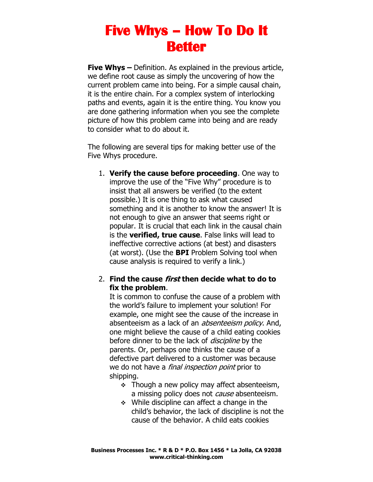**Five Whys –** Definition. As explained in the previous article, we define root cause as simply the uncovering of how the current problem came into being. For a simple causal chain, it is the entire chain. For a complex system of interlocking paths and events, again it is the entire thing. You know you are done gathering information when you see the complete picture of how this problem came into being and are ready to consider what to do about it.

The following are several tips for making better use of the Five Whys procedure.

1. **Verify the cause before proceeding**. One way to improve the use of the "Five Why" procedure is to insist that all answers be verified (to the extent possible.) It is one thing to ask what caused something and it is another to know the answer! It is not enough to give an answer that seems right or popular. It is crucial that each link in the causal chain is the **verified, true cause**. False links will lead to ineffective corrective actions (at best) and disasters (at worst). (Use the **BPI** Problem Solving tool when cause analysis is required to verify a link.)

#### 2. **Find the cause first then decide what to do to fix the problem**.

It is common to confuse the cause of a problem with the world's failure to implement your solution! For example, one might see the cause of the increase in absenteeism as a lack of an *absenteeism policy*. And, one might believe the cause of a child eating cookies before dinner to be the lack of *discipline* by the parents. Or, perhaps one thinks the cause of a defective part delivered to a customer was because we do not have a *final inspection point* prior to shipping.

- ❖ Though a new policy may affect absenteeism, a missing policy does not *cause* absenteeism.
- ❖ While discipline can affect a change in the child's behavior, the lack of discipline is not the cause of the behavior. A child eats cookies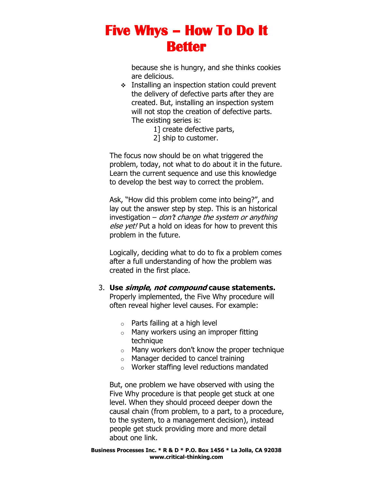because she is hungry, and she thinks cookies are delicious.

- ❖ Installing an inspection station could prevent the delivery of defective parts after they are created. But, installing an inspection system will not stop the creation of defective parts. The existing series is:
	- 1] create defective parts,
	- 2] ship to customer.

The focus now should be on what triggered the problem, today, not what to do about it in the future. Learn the current sequence and use this knowledge to develop the best way to correct the problem.

Ask, "How did this problem come into being?", and lay out the answer step by step. This is an historical investigation – don't change the system or anything else yet! Put a hold on ideas for how to prevent this problem in the future.

Logically, deciding what to do to fix a problem comes after a full understanding of how the problem was created in the first place.

#### 3. **Use simple, not compound cause statements.**

Properly implemented, the Five Why procedure will often reveal higher level causes. For example:

- $\circ$  Parts failing at a high level
- o Many workers using an improper fitting technique
- $\circ$  Many workers don't know the proper technique
- o Manager decided to cancel training
- o Worker staffing level reductions mandated

But, one problem we have observed with using the Five Why procedure is that people get stuck at one level. When they should proceed deeper down the causal chain (from problem, to a part, to a procedure, to the system, to a management decision), instead people get stuck providing more and more detail about one link.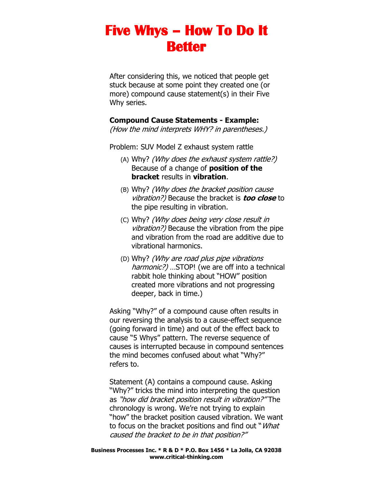After considering this, we noticed that people get stuck because at some point they created one (or more) compound cause statement(s) in their Five Why series.

#### **Compound Cause Statements - Example:**

(How the mind interprets WHY? in parentheses.)

Problem: SUV Model Z exhaust system rattle

- (A) Why? (Why does the exhaust system rattle?) Because of a change of **position of the bracket** results in **vibration**.
- (B) Why? (Why does the bracket position cause vibration?) Because the bracket is **too close** to the pipe resulting in vibration.
- (C) Why? (Why does being very close result in vibration?) Because the vibration from the pipe and vibration from the road are additive due to vibrational harmonics.
- (D) Why? (Why are road plus pipe vibrations harmonic?) ... STOP! (we are off into a technical rabbit hole thinking about "HOW" position created more vibrations and not progressing deeper, back in time.)

Asking "Why?" of a compound cause often results in our reversing the analysis to a cause-effect sequence (going forward in time) and out of the effect back to cause "5 Whys" pattern. The reverse sequence of causes is interrupted because in compound sentences the mind becomes confused about what "Why?" refers to.

Statement (A) contains a compound cause. Asking "Why?" tricks the mind into interpreting the question as "how did bracket position result in vibration?" The chronology is wrong. We're not trying to explain "how" the bracket position caused vibration. We want to focus on the bracket positions and find out "What caused the bracket to be in that position?"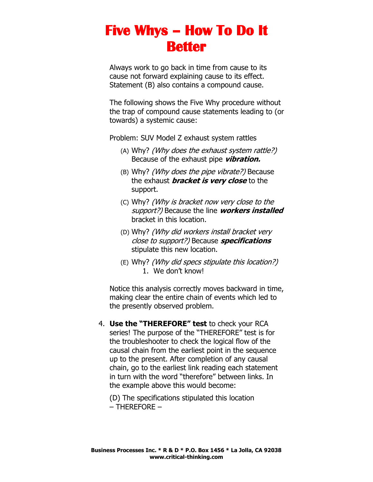Always work to go back in time from cause to its cause not forward explaining cause to its effect. Statement (B) also contains a compound cause.

The following shows the Five Why procedure without the trap of compound cause statements leading to (or towards) a systemic cause:

Problem: SUV Model Z exhaust system rattles

- (A) Why? (Why does the exhaust system rattle?) Because of the exhaust pipe **vibration.**
- (B) Why? (Why does the pipe vibrate?) Because the exhaust **bracket is very close** to the support.
- (C) Why? (Why is bracket now very close to the support?) Because the line **workers installed** bracket in this location.
- (D) Why? (Why did workers install bracket very close to support?) Because **specifications**  stipulate this new location.
- (E) Why? (Why did specs stipulate this location?) 1. We don't know!

Notice this analysis correctly moves backward in time, making clear the entire chain of events which led to the presently observed problem.

4. **Use the "THEREFORE" test** to check your RCA series! The purpose of the "THEREFORE" test is for the troubleshooter to check the logical flow of the causal chain from the earliest point in the sequence up to the present. After completion of any causal chain, go to the earliest link reading each statement in turn with the word "therefore" between links. In the example above this would become:

(D) The specifications stipulated this location – THEREFORE –